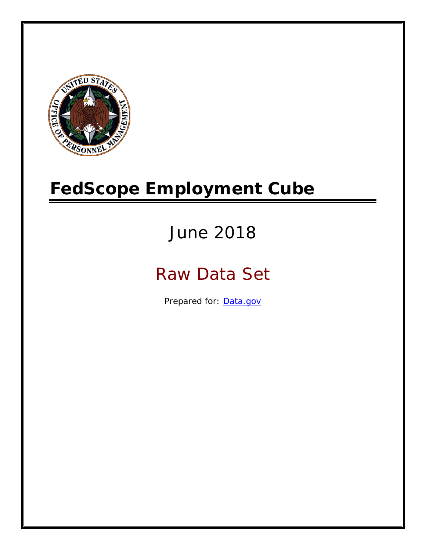

# **FedScope Employment Cube**

# June 2018

# Raw Data Set

Prepared for: [Data.gov](http://www.data.gov/)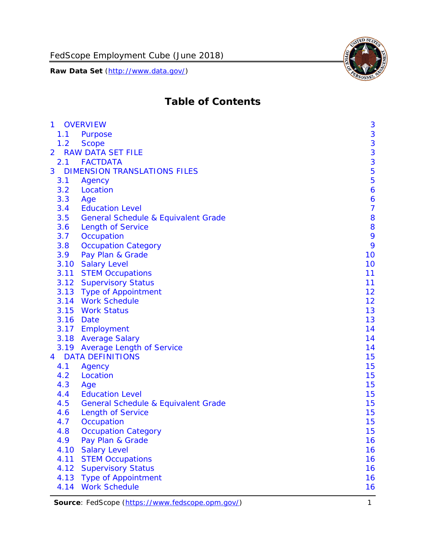

## **Table of Contents**

| $\mathbf{1}$   |           | <b>OVERVIEW</b>                                | 3              |
|----------------|-----------|------------------------------------------------|----------------|
|                | 1.1       | Purpose                                        | 3              |
|                | 1.2       | <b>Scope</b>                                   | 3              |
| $\overline{2}$ |           | <b>RAW DATA SET FILE</b>                       | 3              |
|                |           | 2.1 FACTDATA                                   | 3              |
| 3              |           | <b>DIMENSION TRANSLATIONS FILES</b>            | 5              |
|                | 3.1       | Agency                                         | 5              |
|                | 3.2       | Location                                       | 6              |
|                | 3.3       | Age                                            | 6              |
|                | 3.4       | <b>Education Level</b>                         | $\overline{7}$ |
|                | 3.5       | <b>General Schedule &amp; Equivalent Grade</b> | 8              |
|                | 3.6       | <b>Length of Service</b>                       | 8              |
|                | 3.7       | Occupation                                     | 9              |
|                | 3.8       | <b>Occupation Category</b>                     | 9              |
|                | 3.9       | Pay Plan & Grade                               | 10             |
|                | 3.10      | <b>Salary Level</b>                            | 10             |
|                |           | 3.11 STEM Occupations                          | 11             |
|                |           | 3.12 Supervisory Status                        | 11             |
|                |           | 3.13 Type of Appointment                       | 12             |
|                |           | 3.14 Work Schedule                             | 12             |
|                |           | 3.15 Work Status                               | 13             |
|                | 3.16 Date |                                                | 13             |
|                |           | 3.17 Employment                                | 14             |
|                |           | 3.18 Average Salary                            | 14             |
|                |           | 3.19 Average Length of Service                 | 14             |
| 4              |           | <b>DATA DEFINITIONS</b>                        | 15             |
|                | 4.1       | Agency                                         | 15             |
|                | 4.2       | Location                                       | 15             |
|                | 4.3       | Age                                            | 15             |
|                | 4.4       | <b>Education Level</b>                         | 15             |
|                | 4.5       | <b>General Schedule &amp; Equivalent Grade</b> | 15             |
|                | 4.6       | <b>Length of Service</b>                       | 15             |
|                | 4.7       | Occupation                                     | 15             |
|                | 4.8       | <b>Occupation Category</b>                     | 15             |
|                | 4.9       | Pay Plan & Grade                               | 16             |
|                | 4.10      | <b>Salary Level</b>                            | 16             |
|                | 4.11      | <b>STEM Occupations</b>                        | 16             |
|                | 4.12      | <b>Supervisory Status</b>                      | 16             |
|                | 4.13      | <b>Type of Appointment</b>                     | 16             |
|                | 4.14      | <b>Work Schedule</b>                           | 16             |

Source: FedScope [\(https://www.fedscope.opm.gov/\)](https://www.fedscope.opm.gov/) 1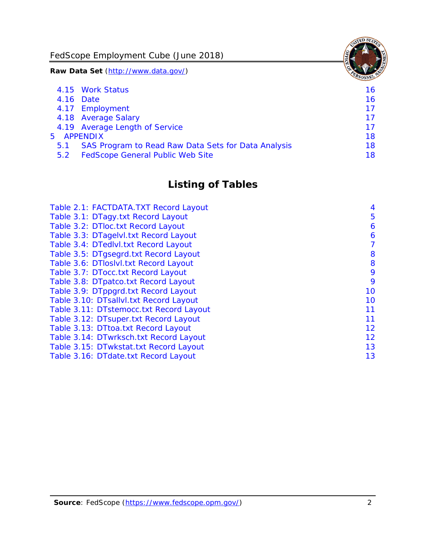FedScope Employment Cube (June 2018)

**Raw Data Set** (http://www.data.gov/)

|               | 4.15 Work Status                                    | 16. |
|---------------|-----------------------------------------------------|-----|
|               | 4.16 Date                                           | 16  |
|               | 4.17 Employment                                     | 17  |
|               | 4.18 Average Salary                                 | 17  |
|               | 4.19 Average Length of Service                      | 17  |
|               | 5 APPENDIX                                          | 18  |
| 5.1           | SAS Program to Read Raw Data Sets for Data Analysis | 18  |
| $5.2^{\circ}$ | <b>FedScope General Public Web Site</b>             | 18. |
|               |                                                     |     |

## **Listing of Tables**

| Table 2.1: FACTDATA.TXT Record Layout   | 4  |
|-----------------------------------------|----|
| Table 3.1: DTagy.txt Record Layout      | 5  |
| Table 3.2: DTloc.txt Record Layout      | 6  |
| Table 3.3: DTagelvl.txt Record Layout   | 6  |
| Table 3.4: DTedlvl.txt Record Layout    | 7  |
| Table 3.5: DTgsegrd.txt Record Layout   | 8  |
| Table 3.6: DTloslvl.txt Record Layout   | 8  |
| Table 3.7: DTocc.txt Record Layout      | 9  |
| Table 3.8: DTpatco.txt Record Layout    | 9  |
| Table 3.9: DTppgrd.txt Record Layout    | 10 |
| Table 3.10: DTsallvl.txt Record Layout  | 10 |
| Table 3.11: DTstemocc.txt Record Layout | 11 |
| Table 3.12: DTsuper.txt Record Layout   | 11 |
| Table 3.13: DTtoa.txt Record Layout     | 12 |
| Table 3.14: DTwrksch.txt Record Layout  | 12 |
| Table 3.15: DTwkstat.txt Record Layout  | 13 |
| Table 3.16: DTdate.txt Record Layout    | 13 |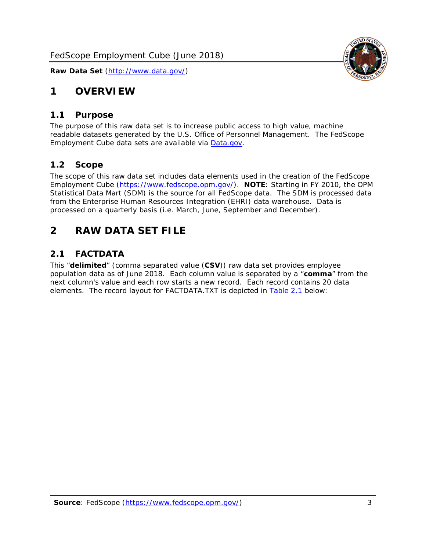

## <span id="page-3-0"></span>**1 OVERVIEW**

#### <span id="page-3-1"></span>*1.1 Purpose*

The purpose of this raw data set is to increase public access to high value, machine readable datasets generated by the U.S. Office of Personnel Management. The FedScope Employment Cube data sets are available via [Data.gov.](http://www.data.gov/)

#### <span id="page-3-2"></span>*1.2 Scope*

The scope of this raw data set includes data elements used in the creation of the FedScope Employment Cube [\(https://www.fedscope.opm.gov/\)](https://www.fedscope.opm.gov/). **NOTE**: Starting in FY 2010, the OPM Statistical Data Mart (SDM) is the source for all FedScope data. The SDM is processed data from the Enterprise Human Resources Integration (EHRI) data warehouse. Data is processed on a quarterly basis (i.e. March, June, September and December).

## <span id="page-3-3"></span>**2 RAW DATA SET FILE**

#### <span id="page-3-4"></span>*2.1 FACTDATA*

This "**delimited**" (comma separated value (**CSV**)) raw data set provides employee population data as of June 2018. Each column value is separated by a "**comma**" from the next column's value and each row starts a new record. Each record contains 20 data elements. The record layout for FACTDATA.TXT is depicted in [Table 2.1](#page-4-0) below: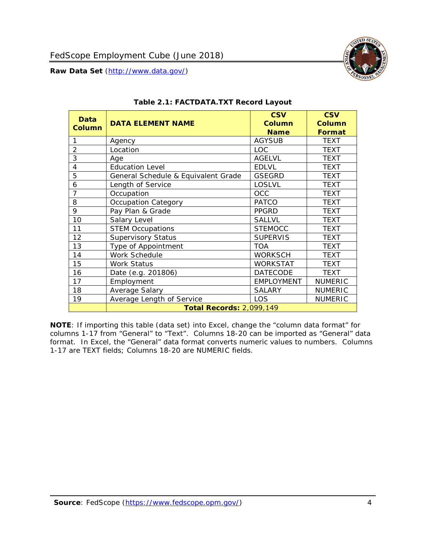<span id="page-4-0"></span>

#### **Table 2.1: FACTDATA.TXT Record Layout**

**NOTE**: If importing this table (data set) into Excel, change the "column data format" for columns 1-17 from "General" to "Text". Columns 18-20 can be imported as "General" data format. In Excel, the "General" data format converts numeric values to numbers. Columns 1-17 are TEXT fields; Columns 18-20 are NUMERIC fields.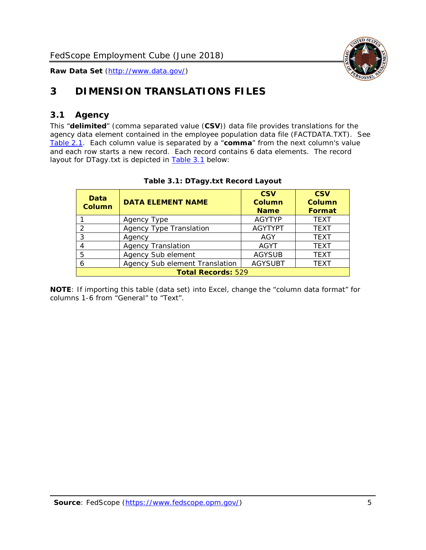

## <span id="page-5-0"></span>**3 DIMENSION TRANSLATIONS FILES**

#### <span id="page-5-1"></span>*3.1 Agency*

This "**delimited**" (comma separated value (**CSV**)) data file provides translations for the agency data element contained in the employee population data file (FACTDATA.TXT). See [Table 2.1.](#page-4-0) Each column value is separated by a "**comma**" from the next column's value and each row starts a new record. Each record contains 6 data elements. The record layout for DTagy.txt is depicted in **[Table 3.1](#page-5-2)** below:

<span id="page-5-2"></span>

| Data<br><b>Column</b>     | <b>DATA ELEMENT NAME</b>       | <b>CSV</b><br>Column<br><b>Name</b> | <b>CSV</b><br>Column<br>Format |
|---------------------------|--------------------------------|-------------------------------------|--------------------------------|
|                           | Agency Type                    | <b>AGYTYP</b>                       | <b>TEXT</b>                    |
|                           | <b>Agency Type Translation</b> | <b>AGYTYPT</b>                      | <b>TEXT</b>                    |
| 3                         | Agency                         | AGY                                 | <b>TEXT</b>                    |
|                           | <b>Agency Translation</b>      | <b>AGYT</b>                         | <b>TEXT</b>                    |
| 5                         | Agency Sub element             | <b>AGYSUB</b>                       | <b>TEXT</b>                    |
| 6                         | Agency Sub element Translation | <b>AGYSUBT</b>                      | <b>TEXT</b>                    |
| <b>Total Records: 529</b> |                                |                                     |                                |

#### **Table 3.1: DTagy.txt Record Layout**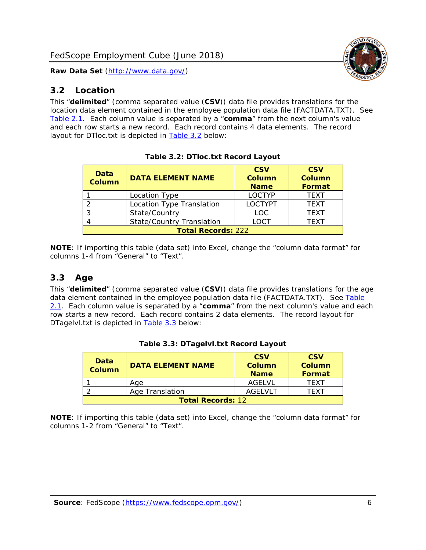#### <span id="page-6-0"></span>*3.2 Location*

This "**delimited**" (comma separated value (**CSV**)) data file provides translations for the location data element contained in the employee population data file (FACTDATA.TXT). See [Table 2.1.](#page-4-0) Each column value is separated by a "**comma**" from the next column's value and each row starts a new record. Each record contains 4 data elements. The record layout for DTloc.txt is depicted in [Table 3.2](#page-6-2) below:

<span id="page-6-2"></span>

| Data<br><b>Column</b>     | <b>DATA ELEMENT NAME</b>         | <b>CSV</b><br><b>Column</b><br><b>Name</b> | <b>CSV</b><br><b>Column</b><br>Format |  |
|---------------------------|----------------------------------|--------------------------------------------|---------------------------------------|--|
|                           | Location Type                    | <b>LOCTYP</b>                              | <b>TEXT</b>                           |  |
|                           | Location Type Translation        | <b>LOCTYPT</b>                             | <b>TEXT</b>                           |  |
| <u>ົ</u>                  | State/Country                    | <b>LOC</b>                                 | <b>TFXT</b>                           |  |
|                           | <b>State/Country Translation</b> | <b>LOCT</b>                                | <b>TEXT</b>                           |  |
| <b>Total Records: 222</b> |                                  |                                            |                                       |  |

**Table 3.2: DTloc.txt Record Layout**

**NOTE**: If importing this table (data set) into Excel, change the "column data format" for columns 1-4 from "General" to "Text".

#### <span id="page-6-1"></span>*3.3 Age*

This "**delimited**" (comma separated value (**CSV**)) data file provides translations for the age data element contained in the employee population data file (FACTDATA.TXT). See Table [2.1.](#page-4-0) Each column value is separated by a "**comma**" from the next column's value and each row starts a new record. Each record contains 2 data elements. The record layout for DTagelvl.txt is depicted in [Table 3.3](#page-6-3) below:

<span id="page-6-3"></span>

| Data<br>Column           | <b>DATA ELEMENT NAME</b> | <b>CSV</b><br>Column<br><b>Name</b> | <b>CSV</b><br>Column<br><b>Format</b> |
|--------------------------|--------------------------|-------------------------------------|---------------------------------------|
|                          | Aae                      | AGFI VI                             | TFXT                                  |
|                          | Age Translation          | AGFI VI T                           | TFXT                                  |
| <b>Total Records: 12</b> |                          |                                     |                                       |

| Table 3.3: DTagelvl.txt Record Layout |  |
|---------------------------------------|--|
|---------------------------------------|--|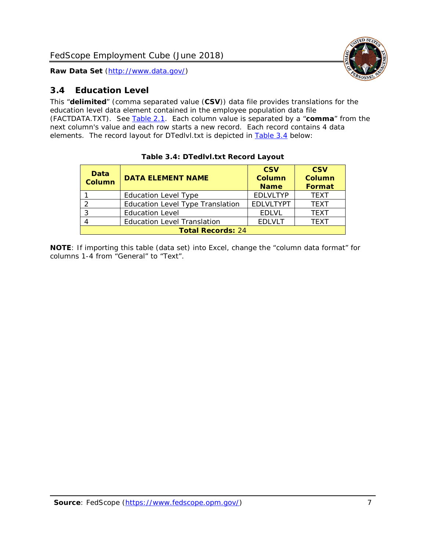

#### <span id="page-7-0"></span>*3.4 Education Level*

This "**delimited**" (comma separated value (**CSV**)) data file provides translations for the education level data element contained in the employee population data file (FACTDATA.TXT). See [Table 2.1.](#page-4-0) Each column value is separated by a "**comma**" from the next column's value and each row starts a new record. Each record contains 4 data elements. The record layout for DTedlvl.txt is depicted in [Table 3.4](#page-7-1) below:

<span id="page-7-1"></span>

| Data<br><b>Column</b>    | <b>DATA ELEMENT NAME</b>                | <b>CSV</b><br><b>Column</b><br><b>Name</b> | <b>CSV</b><br><b>Column</b><br><b>Format</b> |  |
|--------------------------|-----------------------------------------|--------------------------------------------|----------------------------------------------|--|
|                          | <b>Education Level Type</b>             | <b>EDLVLTYP</b>                            | <b>TEXT</b>                                  |  |
| っ                        | <b>Education Level Type Translation</b> | <b>EDLVLTYPT</b>                           | <b>TEXT</b>                                  |  |
| 3                        | <b>Education Level</b>                  | <b>EDLVL</b>                               | <b>TEXT</b>                                  |  |
|                          | <b>Education Level Translation</b>      | <b>EDLVLT</b>                              | <b>TEXT</b>                                  |  |
| <b>Total Records: 24</b> |                                         |                                            |                                              |  |

#### **Table 3.4: DTedlvl.txt Record Layout**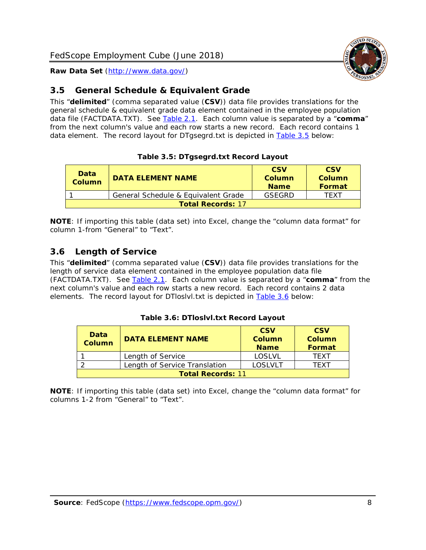

#### <span id="page-8-0"></span>*3.5 General Schedule & Equivalent Grade*

This "**delimited**" (comma separated value (**CSV**)) data file provides translations for the general schedule & equivalent grade data element contained in the employee population data file (FACTDATA.TXT). See [Table 2.1.](#page-4-0) Each column value is separated by a "**comma**" from the next column's value and each row starts a new record. Each record contains 1 data element. The record layout for DTgsegrd.txt is depicted in [Table 3.5](#page-8-2) below:

#### **Table 3.5: DTgsegrd.txt Record Layout**

<span id="page-8-2"></span>

| Data<br>Column           | <b>DATA ELEMENT NAME</b>            | <b>CSV</b><br>Column<br><b>Name</b> | <b>CSV</b><br>Column<br><b>Format</b> |
|--------------------------|-------------------------------------|-------------------------------------|---------------------------------------|
|                          | General Schedule & Equivalent Grade | GSEGRD                              | TFXT                                  |
| <b>Total Records: 17</b> |                                     |                                     |                                       |

**NOTE**: If importing this table (data set) into Excel, change the "column data format" for column 1-from "General" to "Text".

### <span id="page-8-1"></span>*3.6 Length of Service*

This "**delimited**" (comma separated value (**CSV**)) data file provides translations for the length of service data element contained in the employee population data file (FACTDATA.TXT). See [Table 2.1.](#page-4-0) Each column value is separated by a "**comma**" from the next column's value and each row starts a new record. Each record contains 2 data elements. The record layout for DTloslvl.txt is depicted in [Table 3.6](#page-8-3) below:

#### **Table 3.6: DTloslvl.txt Record Layout**

<span id="page-8-3"></span>

| Data<br><b>Column</b>    | <b>DATA ELEMENT NAME</b>      | <b>CSV</b><br><b>Column</b><br><b>Name</b> | <b>CSV</b><br>Column<br>Format |  |
|--------------------------|-------------------------------|--------------------------------------------|--------------------------------|--|
|                          | Length of Service             | LOSLVL                                     | TFXT                           |  |
|                          | Length of Service Translation | LOSLVLT                                    | TFXT                           |  |
| <b>Total Records: 11</b> |                               |                                            |                                |  |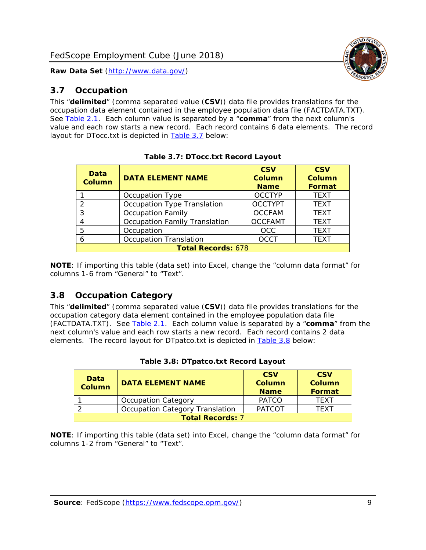#### <span id="page-9-0"></span>*3.7 Occupation*

This "**delimited**" (comma separated value (**CSV**)) data file provides translations for the occupation data element contained in the employee population data file (FACTDATA.TXT). See [Table 2.1.](#page-4-0) Each column value is separated by a "**comma**" from the next column's value and each row starts a new record. Each record contains 6 data elements. The record layout for DTocc.txt is depicted in [Table 3.7](#page-9-2) below:

<span id="page-9-2"></span>

| Data<br><b>Column</b>     | <b>DATA ELEMENT NAME</b>             | <b>CSV</b><br><b>Column</b><br><b>Name</b> | <b>CSV</b><br>Column<br>Format |
|---------------------------|--------------------------------------|--------------------------------------------|--------------------------------|
|                           | Occupation Type                      | <b>OCCTYP</b>                              | <b>TEXT</b>                    |
| 2                         | Occupation Type Translation          | <b>OCCTYPT</b>                             | <b>TEXT</b>                    |
| 3                         | <b>Occupation Family</b>             | <b>OCCFAM</b>                              | <b>TEXT</b>                    |
|                           | <b>Occupation Family Translation</b> | <b>OCCFAMT</b>                             | <b>TEXT</b>                    |
| 5                         | Occupation                           | <b>OCC</b>                                 | <b>TEXT</b>                    |
| 6                         | <b>Occupation Translation</b>        | <b>OCCT</b>                                | <b>TEXT</b>                    |
| <b>Total Records: 678</b> |                                      |                                            |                                |

**NOTE**: If importing this table (data set) into Excel, change the "column data format" for columns 1-6 from "General" to "Text".

#### <span id="page-9-1"></span>*3.8 Occupation Category*

This "**delimited**" (comma separated value (**CSV**)) data file provides translations for the occupation category data element contained in the employee population data file (FACTDATA.TXT). See [Table 2.1.](#page-4-0) Each column value is separated by a "**comma**" from the next column's value and each row starts a new record. Each record contains 2 data elements. The record layout for DTpatco.txt is depicted in [Table 3.8](#page-9-3) below:

<span id="page-9-3"></span>

| Data<br><b>Column</b>   | <b>DATA ELEMENT NAME</b>        | <b>CSV</b><br>Column<br><b>Name</b> | <b>CSV</b><br>Column<br><b>Format</b> |
|-------------------------|---------------------------------|-------------------------------------|---------------------------------------|
|                         | <b>Occupation Category</b>      | <b>PATCO</b>                        | <b>TFXT</b>                           |
|                         | Occupation Category Translation | <b>PATCOT</b>                       | TFXT                                  |
| <b>Total Records: 7</b> |                                 |                                     |                                       |

|  | Table 3.8: DTpatco.txt Record Layout |  |
|--|--------------------------------------|--|
|  |                                      |  |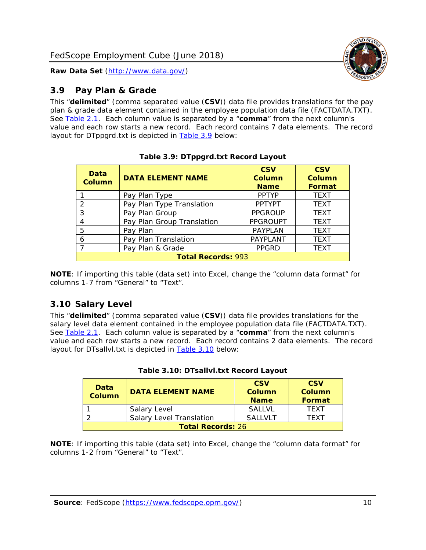

#### <span id="page-10-0"></span>*3.9 Pay Plan & Grade*

This "**delimited**" (comma separated value (**CSV**)) data file provides translations for the pay plan & grade data element contained in the employee population data file (FACTDATA.TXT). See [Table 2.1.](#page-4-0) Each column value is separated by a "**comma**" from the next column's value and each row starts a new record. Each record contains 7 data elements. The record layout for DTppgrd.txt is depicted in [Table 3.9](#page-10-2) below:

<span id="page-10-2"></span>

| Data<br><b>Column</b> | <b>DATA ELEMENT NAME</b>   | <b>CSV</b><br>Column<br><b>Name</b> | <b>CSV</b><br>Column<br><b>Format</b> |  |  |
|-----------------------|----------------------------|-------------------------------------|---------------------------------------|--|--|
|                       | Pay Plan Type              | <b>PPTYP</b>                        | <b>TEXT</b>                           |  |  |
| $\overline{2}$        | Pay Plan Type Translation  | <b>PPTYPT</b>                       | <b>TEXT</b>                           |  |  |
| 3                     | Pay Plan Group             | <b>PPGROUP</b>                      | <b>TEXT</b>                           |  |  |
| 4                     | Pay Plan Group Translation | <b>PPGROUPT</b>                     | <b>TEXT</b>                           |  |  |
| 5                     | Pay Plan                   | <b>PAYPLAN</b>                      | <b>TEXT</b>                           |  |  |
| 6                     | Pay Plan Translation       | PAYPLANT                            | <b>TEXT</b>                           |  |  |
| $\overline{ }$        | Pay Plan & Grade           | <b>PPGRD</b>                        | <b>TEXT</b>                           |  |  |
|                       | <b>Total Records: 993</b>  |                                     |                                       |  |  |

**Table 3.9: DTppgrd.txt Record Layout**

**NOTE**: If importing this table (data set) into Excel, change the "column data format" for columns 1-7 from "General" to "Text".

#### <span id="page-10-1"></span>*3.10 Salary Level*

This "**delimited**" (comma separated value (**CSV**)) data file provides translations for the salary level data element contained in the employee population data file (FACTDATA.TXT). See [Table 2.1.](#page-4-0) Each column value is separated by a "**comma**" from the next column's value and each row starts a new record. Each record contains 2 data elements. The record layout for DTsallvl.txt is depicted in **Table 3.10** below:

<span id="page-10-3"></span>

| Data<br><b>Column</b>    | <b>DATA ELEMENT NAME</b>        | <b>CSV</b><br>Column<br><b>Name</b> | <b>CSV</b><br>Column<br>Format |
|--------------------------|---------------------------------|-------------------------------------|--------------------------------|
|                          | Salary Level                    | <b>SALLVL</b>                       | <b>TFXT</b>                    |
|                          | <b>Salary Level Translation</b> | <b>SAILVIT</b>                      | TFXT                           |
| <b>Total Records: 26</b> |                                 |                                     |                                |

**Table 3.10: DTsallvl.txt Record Layout**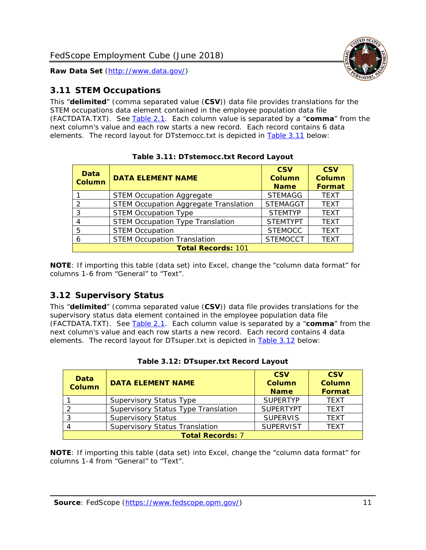

#### <span id="page-11-0"></span>*3.11 STEM Occupations*

This "**delimited**" (comma separated value (**CSV**)) data file provides translations for the STEM occupations data element contained in the employee population data file (FACTDATA.TXT). See [Table 2.1.](#page-4-0) Each column value is separated by a "**comma**" from the next column's value and each row starts a new record. Each record contains 6 data elements. The record layout for DTstemocc.txt is depicted in [Table 3.11](#page-11-2) below:

<span id="page-11-2"></span>

| <b>Data</b><br><b>Column</b> | <b>DATA ELEMENT NAME</b>                     | <b>CSV</b><br>Column<br><b>Name</b> | <b>CSV</b><br><b>Column</b><br>Format |  |  |
|------------------------------|----------------------------------------------|-------------------------------------|---------------------------------------|--|--|
|                              | <b>STEM Occupation Aggregate</b>             | <b>STEMAGG</b>                      | <b>TEXT</b>                           |  |  |
| っ                            | <b>STEM Occupation Aggregate Translation</b> | <b>STEMAGGT</b>                     | <b>TEXT</b>                           |  |  |
| 3                            | <b>STEM Occupation Type</b>                  | <b>STEMTYP</b>                      | <b>TEXT</b>                           |  |  |
| 4                            | <b>STEM Occupation Type Translation</b>      | <b>STEMTYPT</b>                     | <b>TEXT</b>                           |  |  |
| 5                            | <b>STEM Occupation</b>                       | <b>STEMOCC</b>                      | <b>TEXT</b>                           |  |  |
| 6                            | <b>STEM Occupation Translation</b>           | <b>STEMOCCT</b>                     | <b>TEXT</b>                           |  |  |
|                              | <b>Total Records: 101</b>                    |                                     |                                       |  |  |

**Table 3.11: DTstemocc.txt Record Layout**

**NOTE**: If importing this table (data set) into Excel, change the "column data format" for columns 1-6 from "General" to "Text".

#### <span id="page-11-1"></span>*3.12 Supervisory Status*

This "**delimited**" (comma separated value (**CSV**)) data file provides translations for the supervisory status data element contained in the employee population data file (FACTDATA.TXT). See [Table 2.1.](#page-4-0) Each column value is separated by a "**comma**" from the next column's value and each row starts a new record. Each record contains 4 data elements. The record layout for DTsuper.txt is depicted in [Table 3.12](#page-11-3) below:

<span id="page-11-3"></span>

| Data<br><b>Column</b> | <b>DATA ELEMENT NAME</b>              | <b>CSV</b><br><b>Column</b><br><b>Name</b> | <b>CSV</b><br><b>Column</b><br>Format |
|-----------------------|---------------------------------------|--------------------------------------------|---------------------------------------|
|                       | <b>Supervisory Status Type</b>        | <b>SUPERTYP</b>                            | <b>TEXT</b>                           |
|                       | Supervisory Status Type Translation   | <b>SUPERTYPT</b>                           | <b>TEXT</b>                           |
|                       | <b>Supervisory Status</b>             | <b>SUPERVIS</b>                            | <b>TEXT</b>                           |
|                       | <b>Supervisory Status Translation</b> | <b>SUPERVIST</b>                           | <b>TEXT</b>                           |
|                       | <b>Total Records: 7</b>               |                                            |                                       |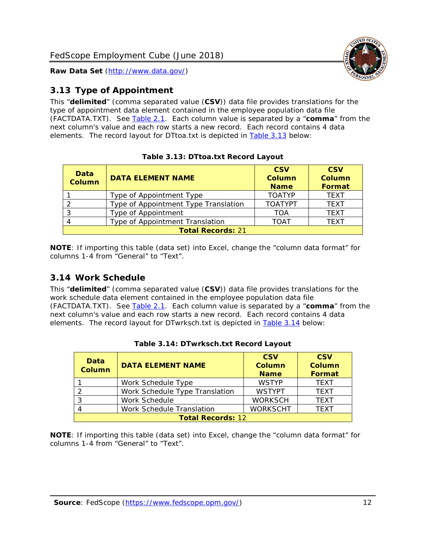

#### <span id="page-12-0"></span>*3.13 Type of Appointment*

This "**delimited**" (comma separated value (**CSV**)) data file provides translations for the type of appointment data element contained in the employee population data file (FACTDATA.TXT). See [Table 2.1.](#page-4-0) Each column value is separated by a "**comma**" from the next column's value and each row starts a new record. Each record contains 4 data elements. The record layout for DTtoa.txt is depicted in [Table 3.13](#page-12-2) below:

<span id="page-12-2"></span>

| <b>Data</b><br><b>Column</b> | <b>DATA ELEMENT NAME</b>             | <b>CSV</b><br><b>Column</b><br><b>Name</b> | <b>CSV</b><br><b>Column</b><br>Format |  |
|------------------------------|--------------------------------------|--------------------------------------------|---------------------------------------|--|
|                              | Type of Appointment Type             | <b>TOATYP</b>                              | <b>TEXT</b>                           |  |
|                              | Type of Appointment Type Translation | <b>TOATYPT</b>                             | <b>TEXT</b>                           |  |
| 3                            | Type of Appointment                  | TOA                                        | <b>TEXT</b>                           |  |
| 4                            | Type of Appointment Translation      | <b>TOAT</b>                                | <b>TFXT</b>                           |  |
| <b>Total Records: 21</b>     |                                      |                                            |                                       |  |

|  | Table 3.13: DTtoa.txt Record Layout |  |
|--|-------------------------------------|--|
|  |                                     |  |

**NOTE**: If importing this table (data set) into Excel, change the "column data format" for columns 1-4 from "General" to "Text".

#### <span id="page-12-1"></span>*3.14 Work Schedule*

This "**delimited**" (comma separated value (**CSV**)) data file provides translations for the work schedule data element contained in the employee population data file (FACTDATA.TXT). See [Table 2.1.](#page-4-0) Each column value is separated by a "**comma**" from the next column's value and each row starts a new record. Each record contains 4 data elements. The record layout for DTwrksch.txt is depicted in [Table 3.14](#page-12-3) below:

<span id="page-12-3"></span>

| <b>Data</b><br><b>Column</b> | <b>DATA ELEMENT NAME</b>       | <b>CSV</b><br><b>Column</b><br><b>Name</b> | <b>CSV</b><br>Column<br><b>Format</b> |  |
|------------------------------|--------------------------------|--------------------------------------------|---------------------------------------|--|
|                              | Work Schedule Type             | <b>WSTYP</b>                               | <b>TEXT</b>                           |  |
| $\mathcal{D}$                | Work Schedule Type Translation | <b>WSTYPT</b>                              | <b>TEXT</b>                           |  |
| -3                           | Work Schedule                  | <b>WORKSCH</b>                             | <b>TFXT</b>                           |  |
|                              | Work Schedule Translation      | <b>WORKSCHT</b>                            | <b>TEXT</b>                           |  |
| <b>Total Records: 12</b>     |                                |                                            |                                       |  |

| Table 3.14: DTwrksch.txt Record Layout |  |
|----------------------------------------|--|
|----------------------------------------|--|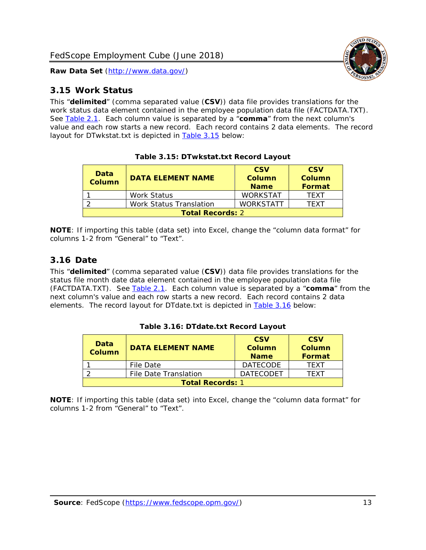#### <span id="page-13-0"></span>*3.15 Work Status*

This "**delimited**" (comma separated value (**CSV**)) data file provides translations for the work status data element contained in the employee population data file (FACTDATA.TXT). See [Table 2.1.](#page-4-0) Each column value is separated by a "**comma**" from the next column's value and each row starts a new record. Each record contains 2 data elements. The record layout for DTwkstat.txt is depicted in [Table 3.15](#page-13-2) below:

<span id="page-13-2"></span>

| <b>Data</b><br><b>Column</b> | <b>DATA ELEMENT NAME</b> | <b>CSV</b><br>Column<br><b>Name</b> | <b>CSV</b><br>Column<br><b>Format</b> |
|------------------------------|--------------------------|-------------------------------------|---------------------------------------|
|                              | <b>Work Status</b>       | <b>WORKSTAT</b>                     | <b>TFXT</b>                           |
|                              | Work Status Translation  | <b>WORKSTATT</b>                    | <b>TFXT</b>                           |
| <b>Total Records: 2</b>      |                          |                                     |                                       |

**Table 3.15: DTwkstat.txt Record Layout**

**NOTE**: If importing this table (data set) into Excel, change the "column data format" for columns 1-2 from "General" to "Text".

#### <span id="page-13-1"></span>*3.16 Date*

This "**delimited**" (comma separated value (**CSV**)) data file provides translations for the status file month date data element contained in the employee population data file (FACTDATA.TXT). See [Table 2.1.](#page-4-0) Each column value is separated by a "**comma**" from the next column's value and each row starts a new record. Each record contains 2 data elements. The record layout for DTdate.txt is depicted in [Table 3.16](#page-13-3) below:

<span id="page-13-3"></span>

| <b>Data</b><br><b>Column</b> | <b>DATA ELEMENT NAME</b> | <b>CSV</b><br>Column<br><b>Name</b> | <b>CSV</b><br>Column<br>Format |
|------------------------------|--------------------------|-------------------------------------|--------------------------------|
|                              | File Date                | <b>DATECODE</b>                     | <b>TFXT</b>                    |
|                              | File Date Translation    | <b>DATECODET</b>                    | TFXT                           |
| <b>Total Records: 1</b>      |                          |                                     |                                |

**Table 3.16: DTdate.txt Record Layout**

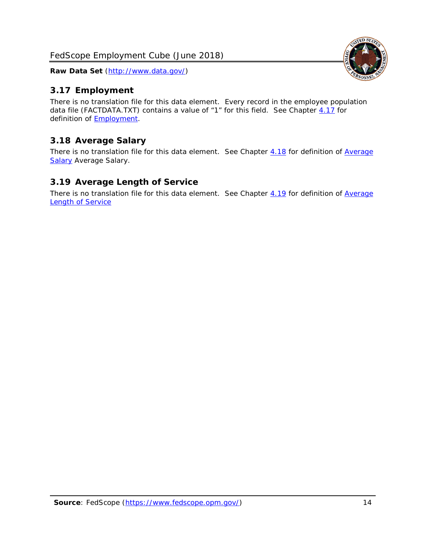### <span id="page-14-0"></span>*3.17 Employment*

There is no translation file for this data element. Every record in the employee population data file (FACTDATA.TXT) contains a value of "1" for this field. See Chapter [4.17](#page-16-8) for definition of [Employment.](#page-17-0)

### <span id="page-14-1"></span>*3.18 Average Salary*

There is no translation file for this data element. See Chapter [4.18](#page-17-1) for definition of Average [Salary](#page-17-1) [Average Salary.](#page-17-1)

#### <span id="page-14-2"></span>*3.19 Average Length of Service*

There is no translation file for this data element. See Chapter [4.19](#page-17-2) for definition of Average **[Length of Service](#page-17-2)** 

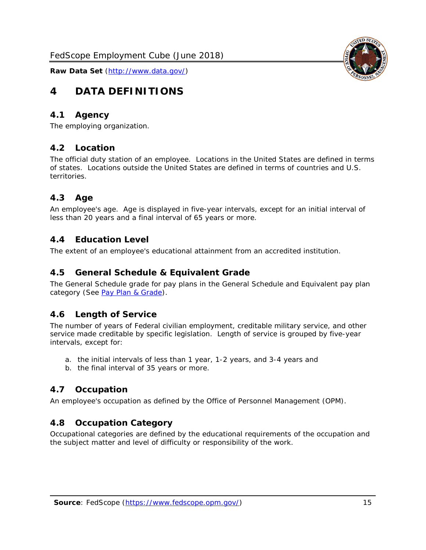## <span id="page-15-0"></span>**4 DATA DEFINITIONS**

#### <span id="page-15-1"></span>*4.1 Agency*

<span id="page-15-2"></span>The employing organization.

#### *4.2 Location*

The official duty station of an employee. Locations in the United States are defined in terms of states. Locations outside the United States are defined in terms of countries and U.S. territories.

#### <span id="page-15-3"></span>*4.3 Age*

An employee's age. Age is displayed in five-year intervals, except for an initial interval of less than 20 years and a final interval of 65 years or more.

#### <span id="page-15-4"></span>*4.4 Education Level*

<span id="page-15-5"></span>The extent of an employee's educational attainment from an accredited institution.

#### *4.5 General Schedule & Equivalent Grade*

The General Schedule grade for pay plans in the General Schedule and Equivalent pay plan category (See [Pay Plan & Grade\)](#page-16-0).

#### <span id="page-15-6"></span>*4.6 Length of Service*

The number of years of Federal civilian employment, creditable military service, and other service made creditable by specific legislation. Length of service is grouped by five-year intervals, except for:

- a. the initial intervals of less than 1 year, 1-2 years, and 3-4 years and
- b. the final interval of 35 years or more.

#### <span id="page-15-7"></span>*4.7 Occupation*

<span id="page-15-8"></span>An employee's occupation as defined by the Office of Personnel Management (OPM).

#### *4.8 Occupation Category*

Occupational categories are defined by the educational requirements of the occupation and the subject matter and level of difficulty or responsibility of the work.

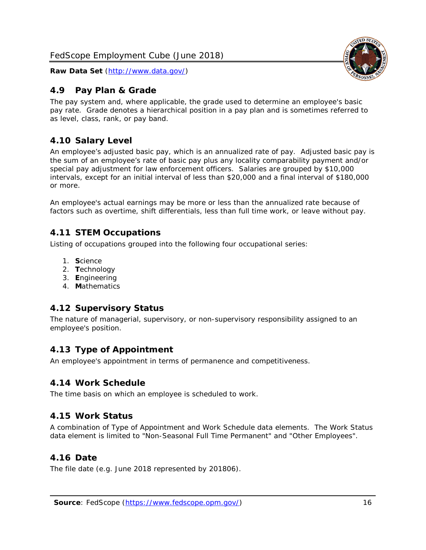#### <span id="page-16-0"></span>*4.9 Pay Plan & Grade*

The pay system and, where applicable, the grade used to determine an employee's basic pay rate. Grade denotes a hierarchical position in a pay plan and is sometimes referred to as level, class, rank, or pay band.

### <span id="page-16-1"></span>*4.10 Salary Level*

An employee's adjusted basic pay, which is an annualized rate of pay. Adjusted basic pay is the sum of an employee's rate of basic pay plus any locality comparability payment and/or special pay adjustment for law enforcement officers. Salaries are grouped by \$10,000 intervals, except for an initial interval of less than \$20,000 and a final interval of \$180,000 or more.

An employee's actual earnings may be more or less than the annualized rate because of factors such as overtime, shift differentials, less than full time work, or leave without pay.

#### <span id="page-16-2"></span>*4.11 STEM Occupations*

Listing of occupations grouped into the following four occupational series:

- 1. **S**cience
- 2. **T**echnology
- 3. **E**ngineering
- 4. **M**athematics

#### <span id="page-16-3"></span>*4.12 Supervisory Status*

The nature of managerial, supervisory, or non-supervisory responsibility assigned to an employee's position.

#### <span id="page-16-4"></span>*4.13 Type of Appointment*

<span id="page-16-5"></span>An employee's appointment in terms of permanence and competitiveness.

#### *4.14 Work Schedule*

<span id="page-16-6"></span>The time basis on which an employee is scheduled to work.

#### *4.15 Work Status*

A combination of Type of Appointment and Work Schedule data elements. The Work Status data element is limited to "Non-Seasonal Full Time Permanent" and "Other Employees".

#### <span id="page-16-7"></span>*4.16 Date*

<span id="page-16-8"></span>The file date (e.g. June 2018 represented by 201806).

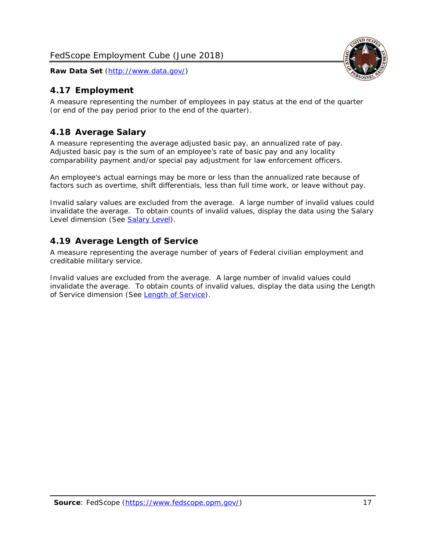#### <span id="page-17-0"></span>*4.17 Employment*

A measure representing the number of employees in pay status at the end of the quarter (or end of the pay period prior to the end of the quarter).

#### <span id="page-17-1"></span>*4.18 Average Salary*

A measure representing the average adjusted basic pay, an annualized rate of pay. Adjusted basic pay is the sum of an employee's rate of basic pay and any locality comparability payment and/or special pay adjustment for law enforcement officers.

An employee's actual earnings may be more or less than the annualized rate because of factors such as overtime, shift differentials, less than full time work, or leave without pay.

Invalid salary values are excluded from the average. A large number of invalid values could invalidate the average. To obtain counts of invalid values, display the data using the Salary Level dimension (See [Salary Level\)](#page-16-1).

#### <span id="page-17-2"></span>*4.19 Average Length of Service*

A measure representing the average number of years of Federal civilian employment and creditable military service.

Invalid values are excluded from the average. A large number of invalid values could invalidate the average. To obtain counts of invalid values, display the data using the Length of Service dimension (See [Length of Service\)](#page-15-6).